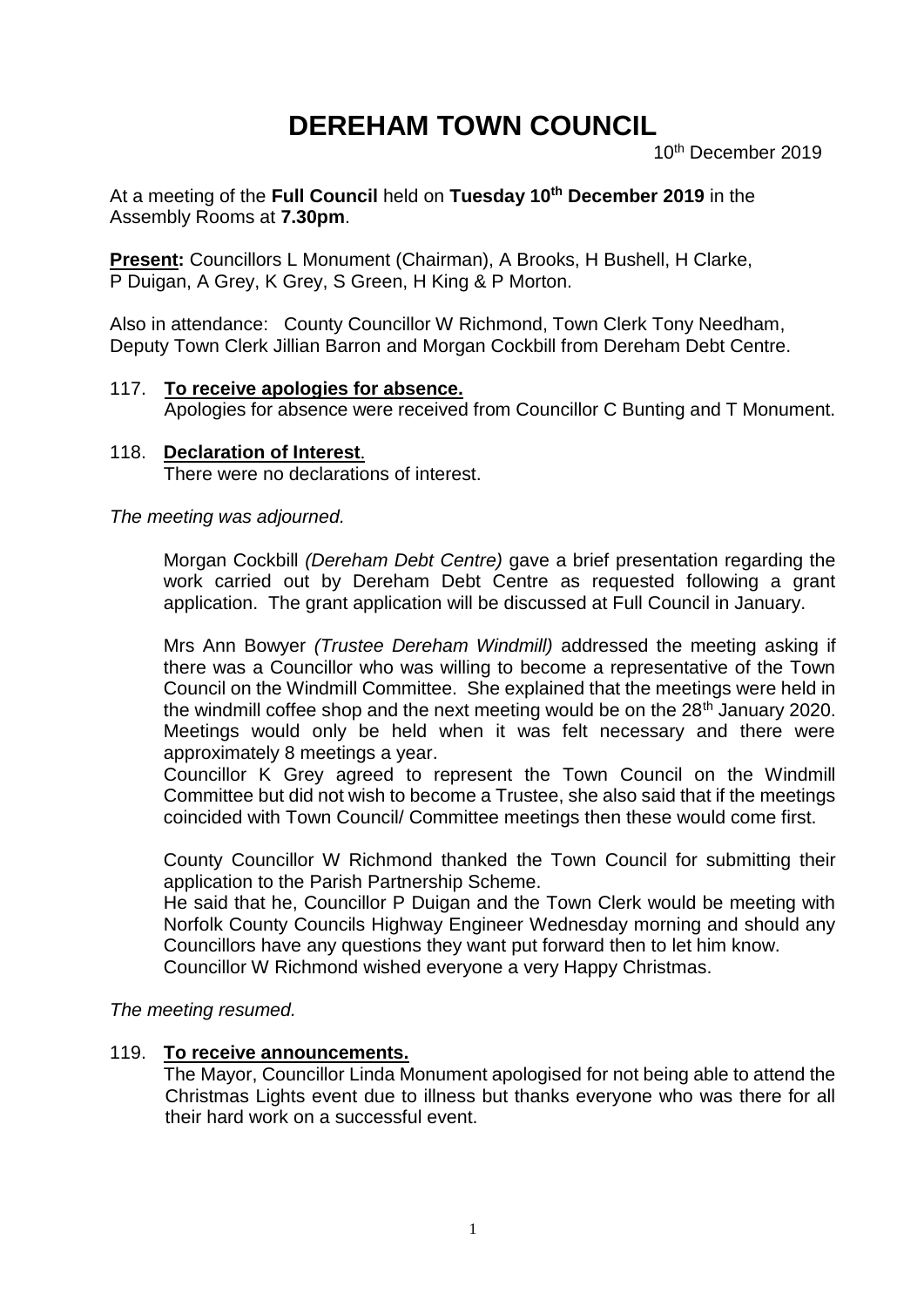# **DEREHAM TOWN COUNCIL**

10th December 2019

At a meeting of the **Full Council** held on **Tuesday 10 th December 2019** in the Assembly Rooms at **7.30pm**.

**Present:** Councillors L Monument (Chairman), A Brooks, H Bushell, H Clarke, P Duigan, A Grey, K Grey, S Green, H King & P Morton.

Also in attendance: County Councillor W Richmond, Town Clerk Tony Needham, Deputy Town Clerk Jillian Barron and Morgan Cockbill from Dereham Debt Centre.

## 117. **To receive apologies for absence.**

Apologies for absence were received from Councillor C Bunting and T Monument.

118. **Declaration of Interest**. There were no declarations of interest.

*The meeting was adjourned.*

Morgan Cockbill *(Dereham Debt Centre)* gave a brief presentation regarding the work carried out by Dereham Debt Centre as requested following a grant application. The grant application will be discussed at Full Council in January.

Mrs Ann Bowyer *(Trustee Dereham Windmill)* addressed the meeting asking if there was a Councillor who was willing to become a representative of the Town Council on the Windmill Committee. She explained that the meetings were held in the windmill coffee shop and the next meeting would be on the  $28<sup>th</sup>$  January 2020. Meetings would only be held when it was felt necessary and there were approximately 8 meetings a year.

Councillor K Grey agreed to represent the Town Council on the Windmill Committee but did not wish to become a Trustee, she also said that if the meetings coincided with Town Council/ Committee meetings then these would come first.

County Councillor W Richmond thanked the Town Council for submitting their application to the Parish Partnership Scheme.

He said that he, Councillor P Duigan and the Town Clerk would be meeting with Norfolk County Councils Highway Engineer Wednesday morning and should any Councillors have any questions they want put forward then to let him know. Councillor W Richmond wished everyone a very Happy Christmas.

*The meeting resumed.*

### 119. **To receive announcements.**

The Mayor, Councillor Linda Monument apologised for not being able to attend the Christmas Lights event due to illness but thanks everyone who was there for all their hard work on a successful event.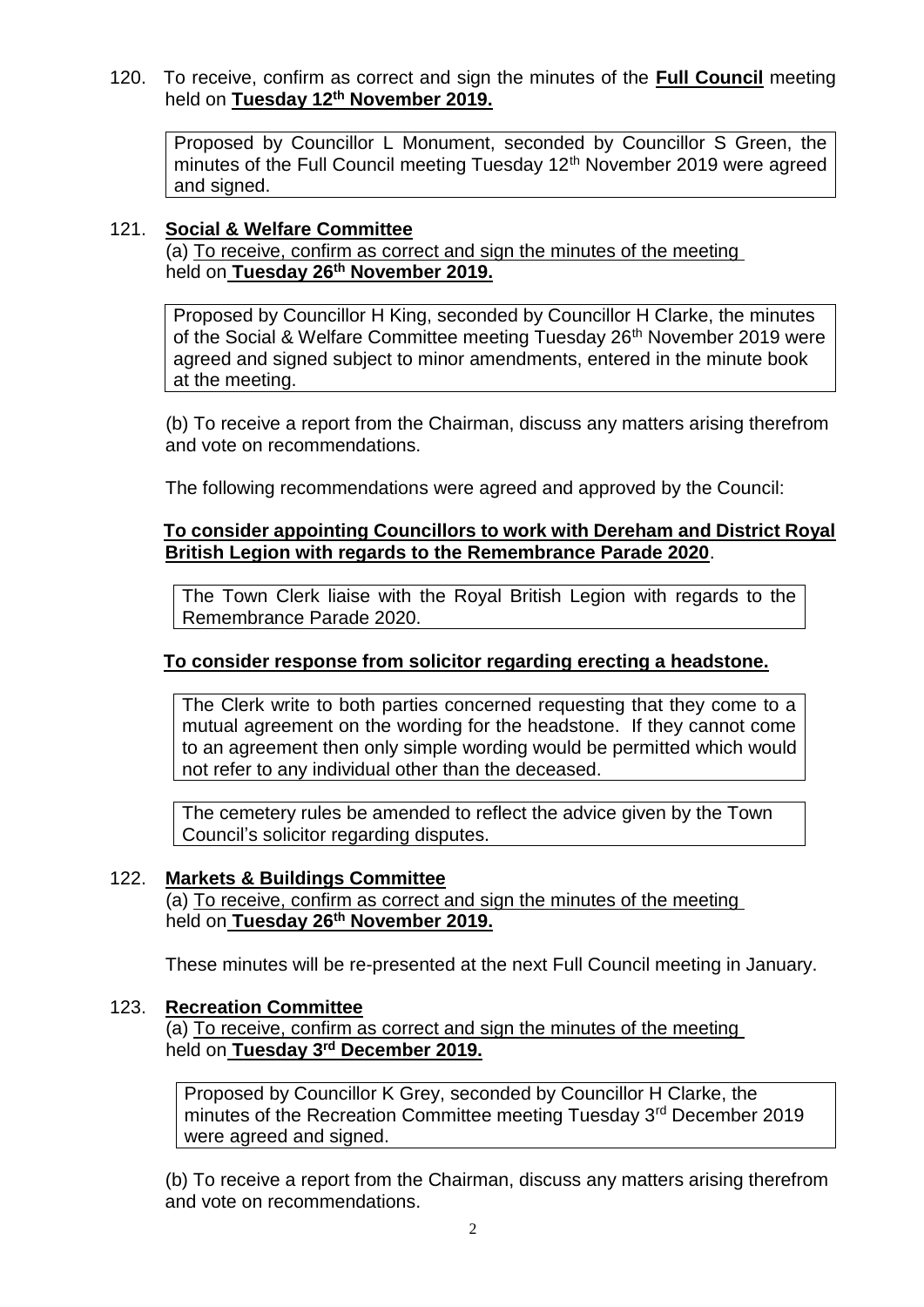120. To receive, confirm as correct and sign the minutes of the **Full Council** meeting held on **Tuesday 12th November 2019.**

Proposed by Councillor L Monument, seconded by Councillor S Green, the minutes of the Full Council meeting Tuesday 12<sup>th</sup> November 2019 were agreed and signed.

#### 121. **Social & Welfare Committee**

(a) To receive, confirm as correct and sign the minutes of the meeting held on **Tuesday 26th November 2019.**

Proposed by Councillor H King, seconded by Councillor H Clarke, the minutes of the Social & Welfare Committee meeting Tuesday 26<sup>th</sup> November 2019 were agreed and signed subject to minor amendments, entered in the minute book at the meeting.

(b) To receive a report from the Chairman, discuss any matters arising therefrom and vote on recommendations.

The following recommendations were agreed and approved by the Council:

#### **To consider appointing Councillors to work with Dereham and District Royal British Legion with regards to the Remembrance Parade 2020**.

The Town Clerk liaise with the Royal British Legion with regards to the Remembrance Parade 2020.

#### **To consider response from solicitor regarding erecting a headstone.**

The Clerk write to both parties concerned requesting that they come to a mutual agreement on the wording for the headstone. If they cannot come to an agreement then only simple wording would be permitted which would not refer to any individual other than the deceased.

The cemetery rules be amended to reflect the advice given by the Town Council's solicitor regarding disputes.

#### 122. **Markets & Buildings Committee**

(a) To receive, confirm as correct and sign the minutes of the meeting held on **Tuesday 26th November 2019.**

These minutes will be re-presented at the next Full Council meeting in January.

#### 123. **Recreation Committee**

(a) To receive, confirm as correct and sign the minutes of the meeting held on **Tuesday 3 rd December 2019.**

Proposed by Councillor K Grey, seconded by Councillor H Clarke, the minutes of the Recreation Committee meeting Tuesday 3rd December 2019 were agreed and signed.

(b) To receive a report from the Chairman, discuss any matters arising therefrom and vote on recommendations.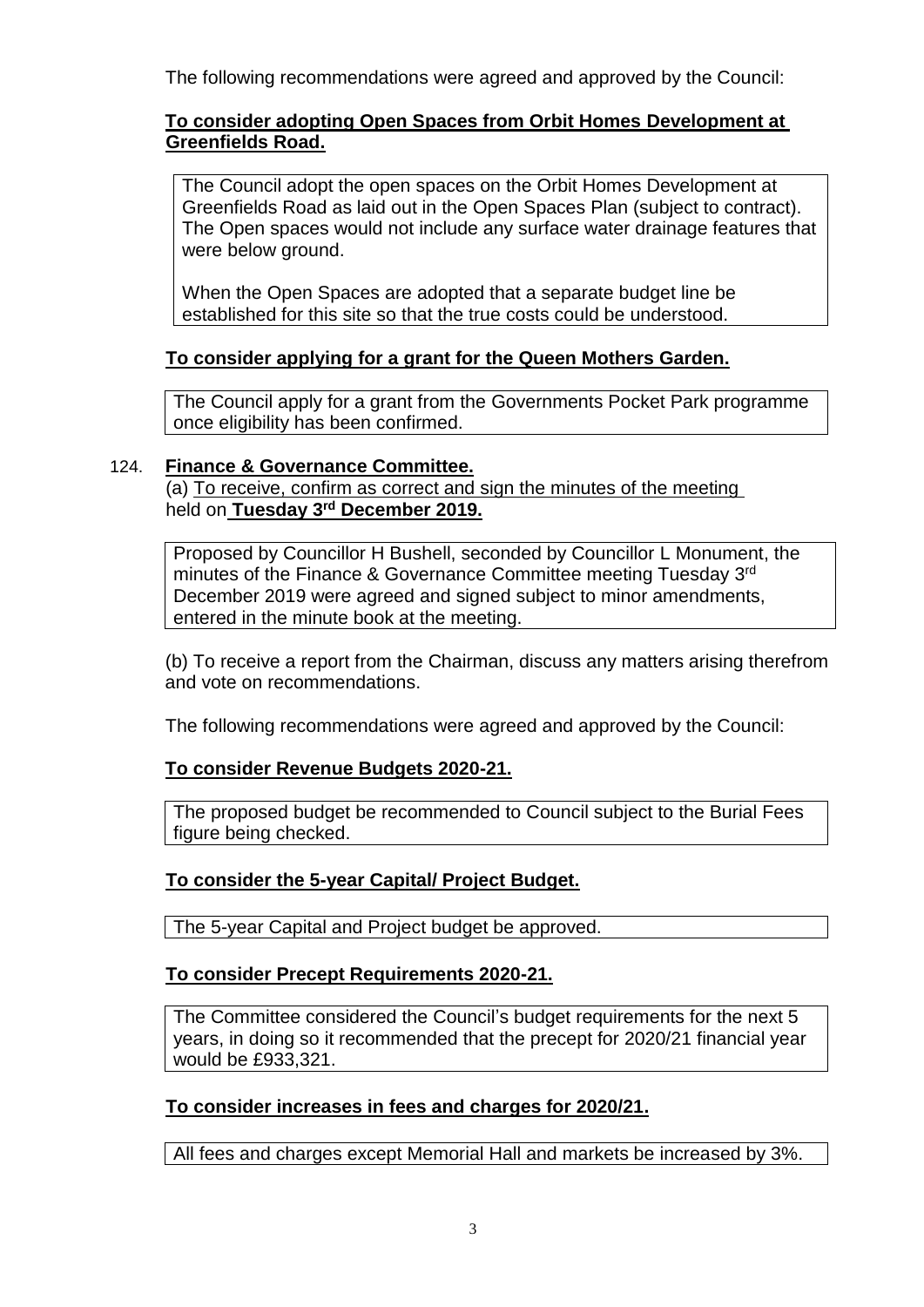The following recommendations were agreed and approved by the Council:

# **To consider adopting Open Spaces from Orbit Homes Development at Greenfields Road.**

The Council adopt the open spaces on the Orbit Homes Development at Greenfields Road as laid out in the Open Spaces Plan (subject to contract). The Open spaces would not include any surface water drainage features that were below ground.

When the Open Spaces are adopted that a separate budget line be established for this site so that the true costs could be understood.

# **To consider applying for a grant for the Queen Mothers Garden.**

The Council apply for a grant from the Governments Pocket Park programme once eligibility has been confirmed.

## 124. **Finance & Governance Committee.**

(a) To receive, confirm as correct and sign the minutes of the meeting held on **Tuesday 3 rd December 2019.**

Proposed by Councillor H Bushell, seconded by Councillor L Monument, the minutes of the Finance & Governance Committee meeting Tuesday 3<sup>rd</sup> December 2019 were agreed and signed subject to minor amendments, entered in the minute book at the meeting.

(b) To receive a report from the Chairman, discuss any matters arising therefrom and vote on recommendations.

The following recommendations were agreed and approved by the Council:

# **To consider Revenue Budgets 2020-21.**

The proposed budget be recommended to Council subject to the Burial Fees figure being checked.

# **To consider the 5-year Capital/ Project Budget.**

The 5-year Capital and Project budget be approved.

# **To consider Precept Requirements 2020-21.**

The Committee considered the Council's budget requirements for the next 5 years, in doing so it recommended that the precept for 2020/21 financial year would be £933,321.

# **To consider increases in fees and charges for 2020/21.**

All fees and charges except Memorial Hall and markets be increased by 3%.